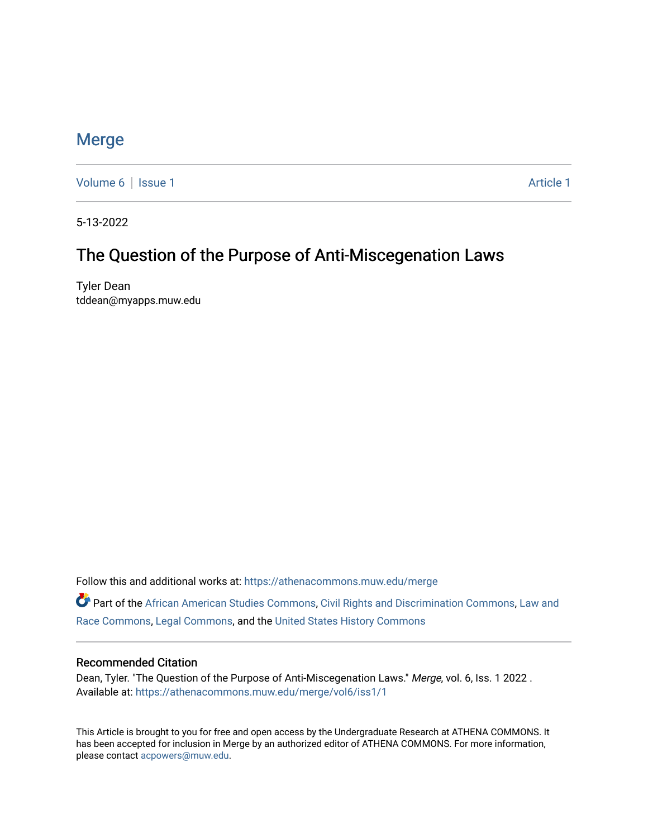### [Merge](https://athenacommons.muw.edu/merge)

[Volume 6](https://athenacommons.muw.edu/merge/vol6) | [Issue 1](https://athenacommons.muw.edu/merge/vol6/iss1) Article 1

5-13-2022

## The Question of the Purpose of Anti-Miscegenation Laws

Tyler Dean tddean@myapps.muw.edu

Follow this and additional works at: [https://athenacommons.muw.edu/merge](https://athenacommons.muw.edu/merge?utm_source=athenacommons.muw.edu%2Fmerge%2Fvol6%2Fiss1%2F1&utm_medium=PDF&utm_campaign=PDFCoverPages) 

Part of the [African American Studies Commons,](https://network.bepress.com/hgg/discipline/567?utm_source=athenacommons.muw.edu%2Fmerge%2Fvol6%2Fiss1%2F1&utm_medium=PDF&utm_campaign=PDFCoverPages) [Civil Rights and Discrimination Commons,](https://network.bepress.com/hgg/discipline/585?utm_source=athenacommons.muw.edu%2Fmerge%2Fvol6%2Fiss1%2F1&utm_medium=PDF&utm_campaign=PDFCoverPages) [Law and](https://network.bepress.com/hgg/discipline/1300?utm_source=athenacommons.muw.edu%2Fmerge%2Fvol6%2Fiss1%2F1&utm_medium=PDF&utm_campaign=PDFCoverPages)  [Race Commons,](https://network.bepress.com/hgg/discipline/1300?utm_source=athenacommons.muw.edu%2Fmerge%2Fvol6%2Fiss1%2F1&utm_medium=PDF&utm_campaign=PDFCoverPages) [Legal Commons,](https://network.bepress.com/hgg/discipline/502?utm_source=athenacommons.muw.edu%2Fmerge%2Fvol6%2Fiss1%2F1&utm_medium=PDF&utm_campaign=PDFCoverPages) and the [United States History Commons](https://network.bepress.com/hgg/discipline/495?utm_source=athenacommons.muw.edu%2Fmerge%2Fvol6%2Fiss1%2F1&utm_medium=PDF&utm_campaign=PDFCoverPages)

#### Recommended Citation

Dean, Tyler. "The Question of the Purpose of Anti-Miscegenation Laws." Merge, vol. 6, Iss. 1 2022. Available at: [https://athenacommons.muw.edu/merge/vol6/iss1/1](https://athenacommons.muw.edu/merge/vol6/iss1/1?utm_source=athenacommons.muw.edu%2Fmerge%2Fvol6%2Fiss1%2F1&utm_medium=PDF&utm_campaign=PDFCoverPages) 

This Article is brought to you for free and open access by the Undergraduate Research at ATHENA COMMONS. It has been accepted for inclusion in Merge by an authorized editor of ATHENA COMMONS. For more information, please contact [acpowers@muw.edu](mailto:acpowers@muw.edu).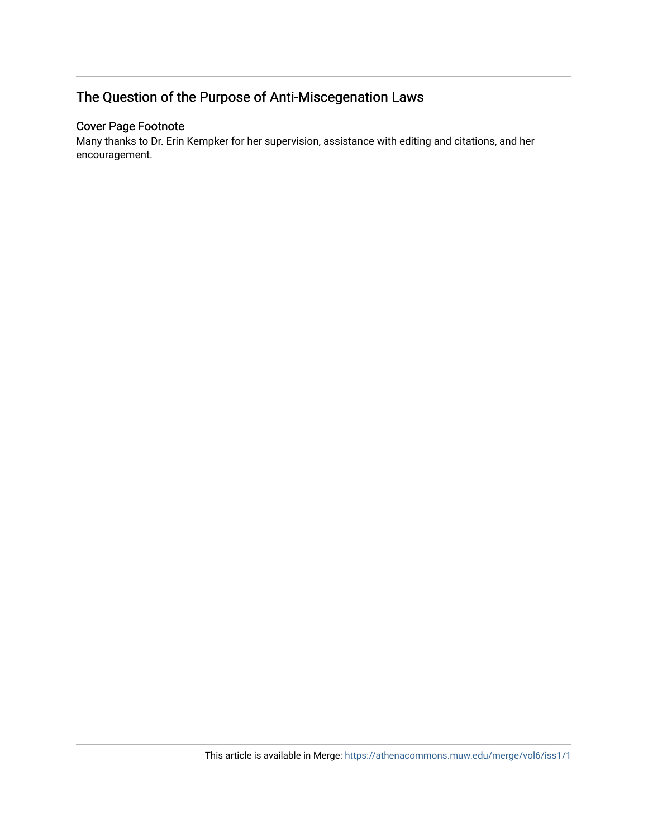## The Question of the Purpose of Anti-Miscegenation Laws

#### Cover Page Footnote

Many thanks to Dr. Erin Kempker for her supervision, assistance with editing and citations, and her encouragement.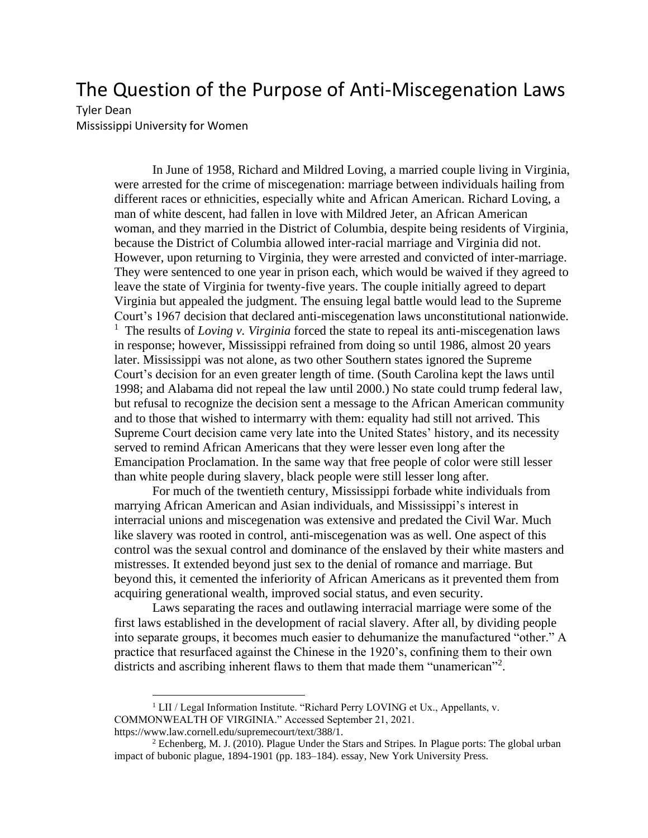# The Question of the Purpose of Anti-Miscegenation Laws

#### Tyler Dean

Mississippi University for Women

In June of 1958, Richard and Mildred Loving, a married couple living in Virginia, were arrested for the crime of miscegenation: marriage between individuals hailing from different races or ethnicities, especially white and African American. Richard Loving, a man of white descent, had fallen in love with Mildred Jeter, an African American woman, and they married in the District of Columbia, despite being residents of Virginia, because the District of Columbia allowed inter-racial marriage and Virginia did not. However, upon returning to Virginia, they were arrested and convicted of inter-marriage. They were sentenced to one year in prison each, which would be waived if they agreed to leave the state of Virginia for twenty-five years. The couple initially agreed to depart Virginia but appealed the judgment. The ensuing legal battle would lead to the Supreme Court's 1967 decision that declared anti-miscegenation laws unconstitutional nationwide. <sup>1</sup> The results of *Loving v. Virginia* forced the state to repeal its anti-miscegenation laws in response; however, Mississippi refrained from doing so until 1986, almost 20 years later. Mississippi was not alone, as two other Southern states ignored the Supreme Court's decision for an even greater length of time. (South Carolina kept the laws until 1998; and Alabama did not repeal the law until 2000.) No state could trump federal law, but refusal to recognize the decision sent a message to the African American community and to those that wished to intermarry with them: equality had still not arrived. This Supreme Court decision came very late into the United States' history, and its necessity served to remind African Americans that they were lesser even long after the Emancipation Proclamation. In the same way that free people of color were still lesser than white people during slavery, black people were still lesser long after.

For much of the twentieth century, Mississippi forbade white individuals from marrying African American and Asian individuals, and Mississippi's interest in interracial unions and miscegenation was extensive and predated the Civil War. Much like slavery was rooted in control, anti-miscegenation was as well. One aspect of this control was the sexual control and dominance of the enslaved by their white masters and mistresses. It extended beyond just sex to the denial of romance and marriage. But beyond this, it cemented the inferiority of African Americans as it prevented them from acquiring generational wealth, improved social status, and even security.

Laws separating the races and outlawing interracial marriage were some of the first laws established in the development of racial slavery. After all, by dividing people into separate groups, it becomes much easier to dehumanize the manufactured "other." A practice that resurfaced against the Chinese in the 1920's, confining them to their own districts and ascribing inherent flaws to them that made them "unamerican"<sup>2</sup>.

<sup>&</sup>lt;sup>1</sup> LII / Legal Information Institute. "Richard Perry LOVING et Ux., Appellants, v. COMMONWEALTH OF VIRGINIA." Accessed September 21, 2021. https://www.law.cornell.edu/supremecourt/text/388/1.

 $2$  Echenberg, M. J. (2010). Plague Under the Stars and Stripes. In Plague ports: The global urban impact of bubonic plague, 1894-1901 (pp. 183–184). essay, New York University Press.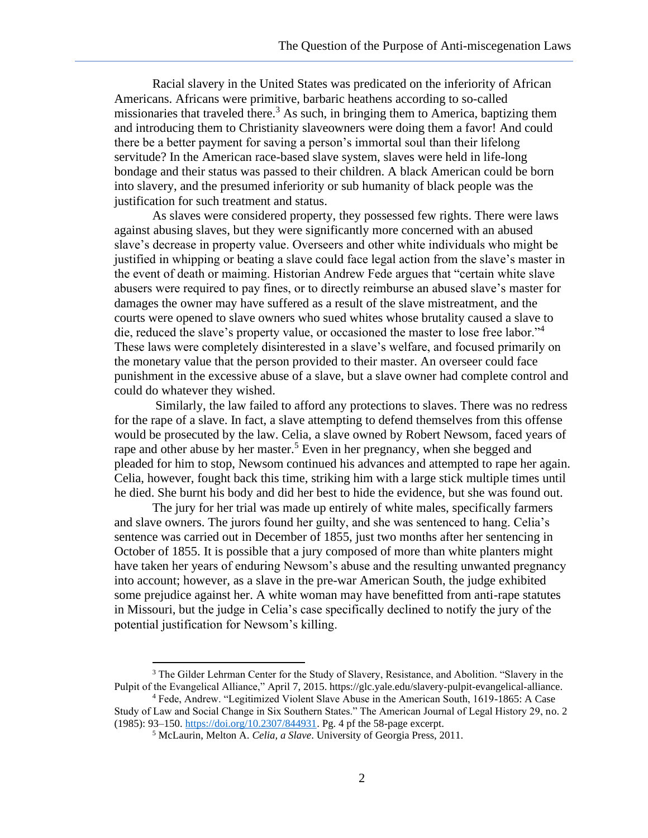Racial slavery in the United States was predicated on the inferiority of African Americans. Africans were primitive, barbaric heathens according to so-called missionaries that traveled there.<sup>3</sup> As such, in bringing them to America, baptizing them and introducing them to Christianity slaveowners were doing them a favor! And could there be a better payment for saving a person's immortal soul than their lifelong servitude? In the American race-based slave system, slaves were held in life-long bondage and their status was passed to their children. A black American could be born into slavery, and the presumed inferiority or sub humanity of black people was the justification for such treatment and status.

As slaves were considered property, they possessed few rights. There were laws against abusing slaves, but they were significantly more concerned with an abused slave's decrease in property value. Overseers and other white individuals who might be justified in whipping or beating a slave could face legal action from the slave's master in the event of death or maiming. Historian Andrew Fede argues that "certain white slave abusers were required to pay fines, or to directly reimburse an abused slave's master for damages the owner may have suffered as a result of the slave mistreatment, and the courts were opened to slave owners who sued whites whose brutality caused a slave to die, reduced the slave's property value, or occasioned the master to lose free labor."<sup>4</sup> These laws were completely disinterested in a slave's welfare, and focused primarily on the monetary value that the person provided to their master. An overseer could face punishment in the excessive abuse of a slave, but a slave owner had complete control and could do whatever they wished.

Similarly, the law failed to afford any protections to slaves. There was no redress for the rape of a slave. In fact, a slave attempting to defend themselves from this offense would be prosecuted by the law. Celia, a slave owned by Robert Newsom, faced years of rape and other abuse by her master.<sup>5</sup> Even in her pregnancy, when she begged and pleaded for him to stop, Newsom continued his advances and attempted to rape her again. Celia, however, fought back this time, striking him with a large stick multiple times until he died. She burnt his body and did her best to hide the evidence, but she was found out.

The jury for her trial was made up entirely of white males, specifically farmers and slave owners. The jurors found her guilty, and she was sentenced to hang. Celia's sentence was carried out in December of 1855, just two months after her sentencing in October of 1855. It is possible that a jury composed of more than white planters might have taken her years of enduring Newsom's abuse and the resulting unwanted pregnancy into account; however, as a slave in the pre-war American South, the judge exhibited some prejudice against her. A white woman may have benefitted from anti-rape statutes in Missouri, but the judge in Celia's case specifically declined to notify the jury of the potential justification for Newsom's killing.

<sup>&</sup>lt;sup>3</sup> The Gilder Lehrman Center for the Study of Slavery, Resistance, and Abolition. "Slavery in the Pulpit of the Evangelical Alliance," April 7, 2015. https://glc.yale.edu/slavery-pulpit-evangelical-alliance.

<sup>4</sup> Fede, Andrew. "Legitimized Violent Slave Abuse in the American South, 1619-1865: A Case Study of Law and Social Change in Six Southern States." The American Journal of Legal History 29, no. 2 (1985): 93–150. [https://doi.org/10.2307/844931.](about:blank) Pg. 4 pf the 58-page excerpt.

<sup>5</sup> McLaurin, Melton A. *Celia, a Slave*. University of Georgia Press, 2011.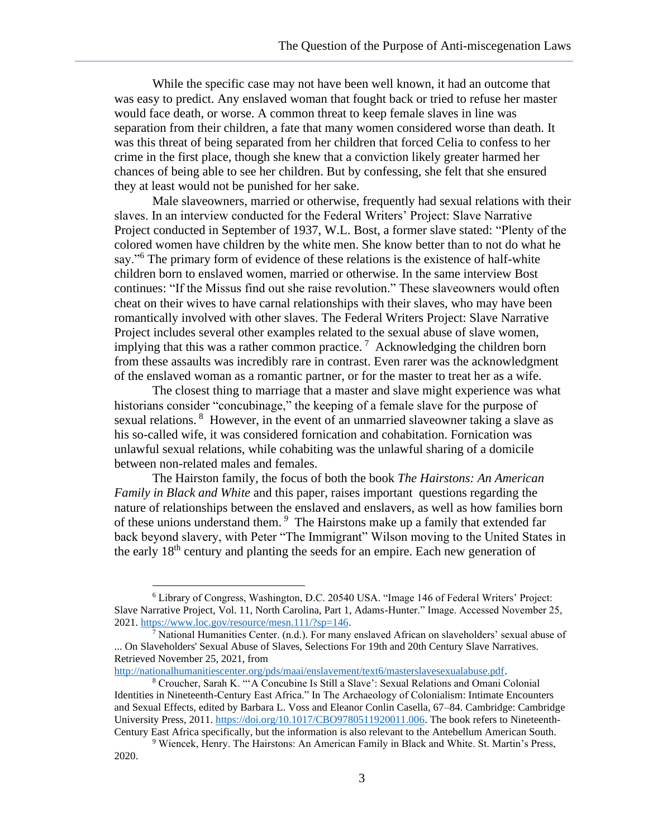While the specific case may not have been well known, it had an outcome that was easy to predict. Any enslaved woman that fought back or tried to refuse her master would face death, or worse. A common threat to keep female slaves in line was separation from their children, a fate that many women considered worse than death. It was this threat of being separated from her children that forced Celia to confess to her crime in the first place, though she knew that a conviction likely greater harmed her chances of being able to see her children. But by confessing, she felt that she ensured they at least would not be punished for her sake.

Male slaveowners, married or otherwise, frequently had sexual relations with their slaves. In an interview conducted for the Federal Writers' Project: Slave Narrative Project conducted in September of 1937, W.L. Bost, a former slave stated: "Plenty of the colored women have children by the white men. She know better than to not do what he say."<sup>6</sup> The primary form of evidence of these relations is the existence of half-white children born to enslaved women, married or otherwise. In the same interview Bost continues: "If the Missus find out she raise revolution." These slaveowners would often cheat on their wives to have carnal relationships with their slaves, who may have been romantically involved with other slaves. The Federal Writers Project: Slave Narrative Project includes several other examples related to the sexual abuse of slave women, implying that this was a rather common practice.<sup>7</sup> Acknowledging the children born from these assaults was incredibly rare in contrast. Even rarer was the acknowledgment of the enslaved woman as a romantic partner, or for the master to treat her as a wife.

The closest thing to marriage that a master and slave might experience was what historians consider "concubinage," the keeping of a female slave for the purpose of sexual relations. <sup>8</sup> However, in the event of an unmarried slaveowner taking a slave as his so-called wife, it was considered fornication and cohabitation. Fornication was unlawful sexual relations, while cohabiting was the unlawful sharing of a domicile between non-related males and females.

The Hairston family, the focus of both the book *The Hairstons: An American Family in Black and White* and this paper, raises important questions regarding the nature of relationships between the enslaved and enslavers, as well as how families born of these unions understand them. *<sup>9</sup>* The Hairstons make up a family that extended far back beyond slavery, with Peter "The Immigrant" Wilson moving to the United States in the early 18th century and planting the seeds for an empire. Each new generation of

[http://nationalhumanitiescenter.org/pds/maai/enslavement/text6/masterslavesexualabuse.pdf.](about:blank)

<sup>6</sup> Library of Congress, Washington, D.C. 20540 USA. "Image 146 of Federal Writers' Project: Slave Narrative Project, Vol. 11, North Carolina, Part 1, Adams-Hunter." Image. Accessed November 25, 2021. [https://www.loc.gov/resource/mesn.111/?sp=146.](about:blank)

<sup>&</sup>lt;sup>7</sup> National Humanities Center. (n.d.). For many enslaved African on slaveholders' sexual abuse of ... On Slaveholders' Sexual Abuse of Slaves, Selections For 19th and 20th Century Slave Narratives. Retrieved November 25, 2021, from

<sup>8</sup> Croucher, Sarah K. "'A Concubine Is Still a Slave': Sexual Relations and Omani Colonial Identities in Nineteenth-Century East Africa." In The Archaeology of Colonialism: Intimate Encounters and Sexual Effects, edited by Barbara L. Voss and Eleanor Conlin Casella, 67–84. Cambridge: Cambridge University Press, 2011. [https://doi.org/10.1017/CBO9780511920011.006.](about:blank) The book refers to Nineteenth-Century East Africa specifically, but the information is also relevant to the Antebellum American South.

<sup>9</sup> Wiencek, Henry. The Hairstons: An American Family in Black and White. St. Martin's Press, 2020.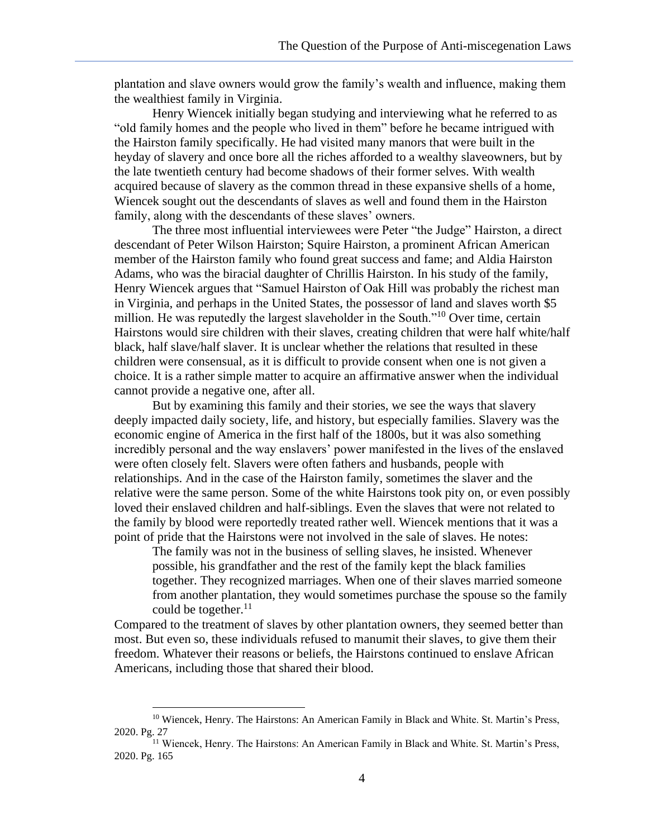plantation and slave owners would grow the family's wealth and influence, making them the wealthiest family in Virginia.

Henry Wiencek initially began studying and interviewing what he referred to as "old family homes and the people who lived in them" before he became intrigued with the Hairston family specifically. He had visited many manors that were built in the heyday of slavery and once bore all the riches afforded to a wealthy slaveowners, but by the late twentieth century had become shadows of their former selves. With wealth acquired because of slavery as the common thread in these expansive shells of a home, Wiencek sought out the descendants of slaves as well and found them in the Hairston family, along with the descendants of these slaves' owners.

The three most influential interviewees were Peter "the Judge" Hairston, a direct descendant of Peter Wilson Hairston; Squire Hairston, a prominent African American member of the Hairston family who found great success and fame; and Aldia Hairston Adams, who was the biracial daughter of Chrillis Hairston. In his study of the family, Henry Wiencek argues that "Samuel Hairston of Oak Hill was probably the richest man in Virginia, and perhaps in the United States, the possessor of land and slaves worth \$5 million. He was reputedly the largest slaveholder in the South."<sup>10</sup> Over time, certain Hairstons would sire children with their slaves, creating children that were half white/half black, half slave/half slaver. It is unclear whether the relations that resulted in these children were consensual, as it is difficult to provide consent when one is not given a choice. It is a rather simple matter to acquire an affirmative answer when the individual cannot provide a negative one, after all.

But by examining this family and their stories, we see the ways that slavery deeply impacted daily society, life, and history, but especially families. Slavery was the economic engine of America in the first half of the 1800s, but it was also something incredibly personal and the way enslavers' power manifested in the lives of the enslaved were often closely felt. Slavers were often fathers and husbands, people with relationships. And in the case of the Hairston family, sometimes the slaver and the relative were the same person. Some of the white Hairstons took pity on, or even possibly loved their enslaved children and half-siblings. Even the slaves that were not related to the family by blood were reportedly treated rather well. Wiencek mentions that it was a point of pride that the Hairstons were not involved in the sale of slaves. He notes:

The family was not in the business of selling slaves, he insisted. Whenever possible, his grandfather and the rest of the family kept the black families together. They recognized marriages. When one of their slaves married someone from another plantation, they would sometimes purchase the spouse so the family could be together. $^{11}$ 

Compared to the treatment of slaves by other plantation owners, they seemed better than most. But even so, these individuals refused to manumit their slaves, to give them their freedom. Whatever their reasons or beliefs, the Hairstons continued to enslave African Americans, including those that shared their blood.

<sup>&</sup>lt;sup>10</sup> Wiencek, Henry. The Hairstons: An American Family in Black and White. St. Martin's Press, 2020. Pg. 27

<sup>&</sup>lt;sup>11</sup> Wiencek, Henry. The Hairstons: An American Family in Black and White. St. Martin's Press, 2020. Pg. 165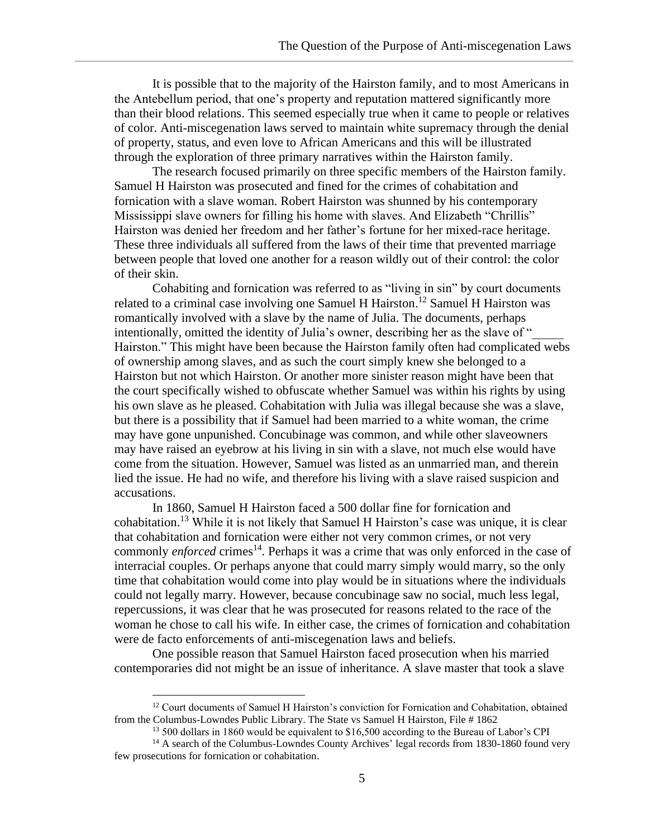It is possible that to the majority of the Hairston family, and to most Americans in the Antebellum period, that one's property and reputation mattered significantly more than their blood relations. This seemed especially true when it came to people or relatives of color. Anti-miscegenation laws served to maintain white supremacy through the denial of property, status, and even love to African Americans and this will be illustrated through the exploration of three primary narratives within the Hairston family.

The research focused primarily on three specific members of the Hairston family. Samuel H Hairston was prosecuted and fined for the crimes of cohabitation and fornication with a slave woman. Robert Hairston was shunned by his contemporary Mississippi slave owners for filling his home with slaves. And Elizabeth "Chrillis" Hairston was denied her freedom and her father's fortune for her mixed-race heritage. These three individuals all suffered from the laws of their time that prevented marriage between people that loved one another for a reason wildly out of their control: the color of their skin.

Cohabiting and fornication was referred to as "living in sin" by court documents related to a criminal case involving one Samuel H Hairston.<sup>12</sup> Samuel H Hairston was romantically involved with a slave by the name of Julia. The documents, perhaps intentionally, omitted the identity of Julia's owner, describing her as the slave of " Hairston." This might have been because the Hairston family often had complicated webs of ownership among slaves, and as such the court simply knew she belonged to a Hairston but not which Hairston. Or another more sinister reason might have been that the court specifically wished to obfuscate whether Samuel was within his rights by using his own slave as he pleased. Cohabitation with Julia was illegal because she was a slave, but there is a possibility that if Samuel had been married to a white woman, the crime may have gone unpunished. Concubinage was common, and while other slaveowners may have raised an eyebrow at his living in sin with a slave, not much else would have come from the situation. However, Samuel was listed as an unmarried man, and therein lied the issue. He had no wife, and therefore his living with a slave raised suspicion and accusations.

In 1860, Samuel H Hairston faced a 500 dollar fine for fornication and cohabitation.<sup>13</sup> While it is not likely that Samuel H Hairston's case was unique, it is clear that cohabitation and fornication were either not very common crimes, or not very commonly *enforced* crimes<sup>14</sup>. Perhaps it was a crime that was only enforced in the case of interracial couples. Or perhaps anyone that could marry simply would marry, so the only time that cohabitation would come into play would be in situations where the individuals could not legally marry. However, because concubinage saw no social, much less legal, repercussions, it was clear that he was prosecuted for reasons related to the race of the woman he chose to call his wife. In either case, the crimes of fornication and cohabitation were de facto enforcements of anti-miscegenation laws and beliefs.

One possible reason that Samuel Hairston faced prosecution when his married contemporaries did not might be an issue of inheritance. A slave master that took a slave

 $12$  Court documents of Samuel H Hairston's conviction for Fornication and Cohabitation, obtained from the Columbus-Lowndes Public Library. The State vs Samuel H Hairston, File # 1862

<sup>&</sup>lt;sup>13</sup> 500 dollars in 1860 would be equivalent to \$16,500 according to the Bureau of Labor's CPI

<sup>&</sup>lt;sup>14</sup> A search of the Columbus-Lowndes County Archives' legal records from 1830-1860 found very few prosecutions for fornication or cohabitation.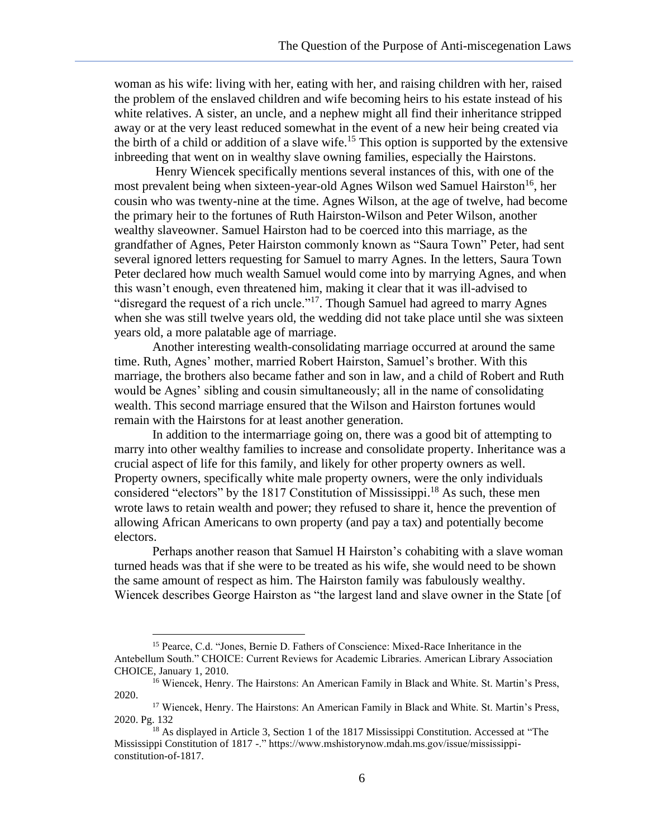woman as his wife: living with her, eating with her, and raising children with her, raised the problem of the enslaved children and wife becoming heirs to his estate instead of his white relatives. A sister, an uncle, and a nephew might all find their inheritance stripped away or at the very least reduced somewhat in the event of a new heir being created via the birth of a child or addition of a slave wife.<sup>15</sup> This option is supported by the extensive inbreeding that went on in wealthy slave owning families, especially the Hairstons.

Henry Wiencek specifically mentions several instances of this, with one of the most prevalent being when sixteen-year-old Agnes Wilson wed Samuel Hairston<sup>16</sup>, her cousin who was twenty-nine at the time. Agnes Wilson, at the age of twelve, had become the primary heir to the fortunes of Ruth Hairston-Wilson and Peter Wilson, another wealthy slaveowner. Samuel Hairston had to be coerced into this marriage, as the grandfather of Agnes, Peter Hairston commonly known as "Saura Town" Peter, had sent several ignored letters requesting for Samuel to marry Agnes. In the letters, Saura Town Peter declared how much wealth Samuel would come into by marrying Agnes, and when this wasn't enough, even threatened him, making it clear that it was ill-advised to "disregard the request of a rich uncle."<sup>17</sup>. Though Samuel had agreed to marry Agnes when she was still twelve years old, the wedding did not take place until she was sixteen years old, a more palatable age of marriage.

Another interesting wealth-consolidating marriage occurred at around the same time. Ruth, Agnes' mother, married Robert Hairston, Samuel's brother. With this marriage, the brothers also became father and son in law, and a child of Robert and Ruth would be Agnes' sibling and cousin simultaneously; all in the name of consolidating wealth. This second marriage ensured that the Wilson and Hairston fortunes would remain with the Hairstons for at least another generation.

In addition to the intermarriage going on, there was a good bit of attempting to marry into other wealthy families to increase and consolidate property. Inheritance was a crucial aspect of life for this family, and likely for other property owners as well. Property owners, specifically white male property owners, were the only individuals considered "electors" by the 1817 Constitution of Mississippi. <sup>18</sup> As such, these men wrote laws to retain wealth and power; they refused to share it, hence the prevention of allowing African Americans to own property (and pay a tax) and potentially become electors.

Perhaps another reason that Samuel H Hairston's cohabiting with a slave woman turned heads was that if she were to be treated as his wife, she would need to be shown the same amount of respect as him. The Hairston family was fabulously wealthy. Wiencek describes George Hairston as "the largest land and slave owner in the State [of

<sup>15</sup> Pearce, C.d. "Jones, Bernie D. Fathers of Conscience: Mixed-Race Inheritance in the Antebellum South." CHOICE: Current Reviews for Academic Libraries. American Library Association CHOICE, January 1, 2010.

<sup>&</sup>lt;sup>16</sup> Wiencek, Henry. The Hairstons: An American Family in Black and White. St. Martin's Press, 2020.

<sup>&</sup>lt;sup>17</sup> Wiencek, Henry. The Hairstons: An American Family in Black and White. St. Martin's Press, 2020. Pg. 132

<sup>&</sup>lt;sup>18</sup> As displayed in Article 3, Section 1 of the 1817 Mississippi Constitution. Accessed at "The Mississippi Constitution of 1817 -." https://www.mshistorynow.mdah.ms.gov/issue/mississippiconstitution-of-1817.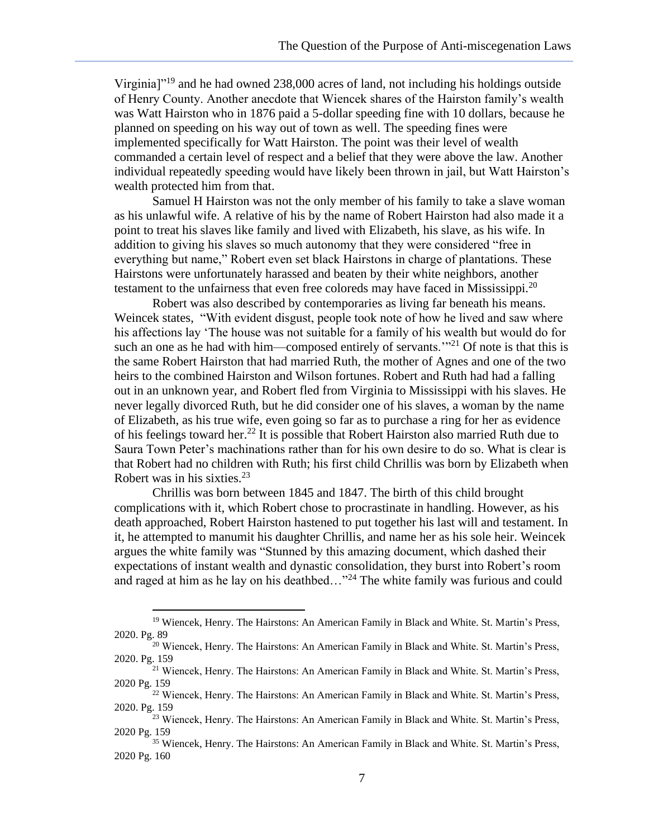Virginia]"<sup>19</sup> and he had owned 238,000 acres of land, not including his holdings outside of Henry County. Another anecdote that Wiencek shares of the Hairston family's wealth was Watt Hairston who in 1876 paid a 5-dollar speeding fine with 10 dollars, because he planned on speeding on his way out of town as well. The speeding fines were implemented specifically for Watt Hairston. The point was their level of wealth commanded a certain level of respect and a belief that they were above the law. Another individual repeatedly speeding would have likely been thrown in jail, but Watt Hairston's wealth protected him from that.

Samuel H Hairston was not the only member of his family to take a slave woman as his unlawful wife. A relative of his by the name of Robert Hairston had also made it a point to treat his slaves like family and lived with Elizabeth, his slave, as his wife. In addition to giving his slaves so much autonomy that they were considered "free in everything but name," Robert even set black Hairstons in charge of plantations. These Hairstons were unfortunately harassed and beaten by their white neighbors, another testament to the unfairness that even free coloreds may have faced in Mississippi.<sup>20</sup>

Robert was also described by contemporaries as living far beneath his means. Weincek states, "With evident disgust, people took note of how he lived and saw where his affections lay 'The house was not suitable for a family of his wealth but would do for such an one as he had with him—composed entirely of servants.<sup>"21</sup> Of note is that this is the same Robert Hairston that had married Ruth, the mother of Agnes and one of the two heirs to the combined Hairston and Wilson fortunes. Robert and Ruth had had a falling out in an unknown year, and Robert fled from Virginia to Mississippi with his slaves. He never legally divorced Ruth, but he did consider one of his slaves, a woman by the name of Elizabeth, as his true wife, even going so far as to purchase a ring for her as evidence of his feelings toward her.<sup>22</sup> It is possible that Robert Hairston also married Ruth due to Saura Town Peter's machinations rather than for his own desire to do so. What is clear is that Robert had no children with Ruth; his first child Chrillis was born by Elizabeth when Robert was in his sixties. $23$ 

Chrillis was born between 1845 and 1847. The birth of this child brought complications with it, which Robert chose to procrastinate in handling. However, as his death approached, Robert Hairston hastened to put together his last will and testament. In it, he attempted to manumit his daughter Chrillis, and name her as his sole heir. Weincek argues the white family was "Stunned by this amazing document, which dashed their expectations of instant wealth and dynastic consolidation, they burst into Robert's room and raged at him as he lay on his deathbed..."<sup>24</sup> The white family was furious and could

<sup>&</sup>lt;sup>19</sup> Wiencek, Henry. The Hairstons: An American Family in Black and White. St. Martin's Press, 2020. Pg. 89

<sup>&</sup>lt;sup>20</sup> Wiencek, Henry. The Hairstons: An American Family in Black and White. St. Martin's Press, 2020. Pg. 159

<sup>&</sup>lt;sup>21</sup> Wiencek, Henry. The Hairstons: An American Family in Black and White. St. Martin's Press, 2020 Pg. 159

<sup>22</sup> Wiencek, Henry. The Hairstons: An American Family in Black and White. St. Martin's Press, 2020. Pg. 159

<sup>&</sup>lt;sup>23</sup> Wiencek, Henry. The Hairstons: An American Family in Black and White. St. Martin's Press, 2020 Pg. 159

<sup>35</sup> Wiencek, Henry. The Hairstons: An American Family in Black and White. St. Martin's Press, 2020 Pg. 160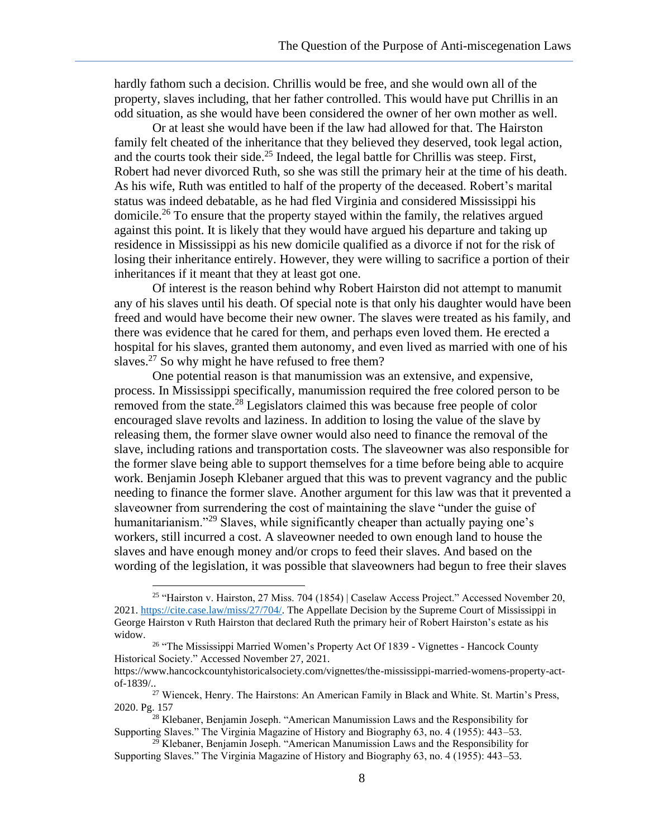hardly fathom such a decision. Chrillis would be free, and she would own all of the property, slaves including, that her father controlled. This would have put Chrillis in an odd situation, as she would have been considered the owner of her own mother as well.

Or at least she would have been if the law had allowed for that. The Hairston family felt cheated of the inheritance that they believed they deserved, took legal action, and the courts took their side. <sup>25</sup> Indeed, the legal battle for Chrillis was steep. First, Robert had never divorced Ruth, so she was still the primary heir at the time of his death. As his wife, Ruth was entitled to half of the property of the deceased. Robert's marital status was indeed debatable, as he had fled Virginia and considered Mississippi his domicile.<sup>26</sup> To ensure that the property stayed within the family, the relatives argued against this point. It is likely that they would have argued his departure and taking up residence in Mississippi as his new domicile qualified as a divorce if not for the risk of losing their inheritance entirely. However, they were willing to sacrifice a portion of their inheritances if it meant that they at least got one.

Of interest is the reason behind why Robert Hairston did not attempt to manumit any of his slaves until his death. Of special note is that only his daughter would have been freed and would have become their new owner. The slaves were treated as his family, and there was evidence that he cared for them, and perhaps even loved them. He erected a hospital for his slaves, granted them autonomy, and even lived as married with one of his slaves.<sup>27</sup> So why might he have refused to free them?

One potential reason is that manumission was an extensive, and expensive, process. In Mississippi specifically, manumission required the free colored person to be removed from the state.<sup>28</sup> Legislators claimed this was because free people of color encouraged slave revolts and laziness. In addition to losing the value of the slave by releasing them, the former slave owner would also need to finance the removal of the slave, including rations and transportation costs. The slaveowner was also responsible for the former slave being able to support themselves for a time before being able to acquire work. Benjamin Joseph Klebaner argued that this was to prevent vagrancy and the public needing to finance the former slave. Another argument for this law was that it prevented a slaveowner from surrendering the cost of maintaining the slave "under the guise of humanitarianism."<sup>29</sup> Slaves, while significantly cheaper than actually paying one's workers, still incurred a cost. A slaveowner needed to own enough land to house the slaves and have enough money and/or crops to feed their slaves. And based on the wording of the legislation, it was possible that slaveowners had begun to free their slaves

<sup>25</sup> "Hairston v. Hairston, 27 Miss. 704 (1854) | Caselaw Access Project." Accessed November 20, 2021. [https://cite.case.law/miss/27/704/.](about:blank) The Appellate Decision by the Supreme Court of Mississippi in George Hairston v Ruth Hairston that declared Ruth the primary heir of Robert Hairston's estate as his widow.

<sup>&</sup>lt;sup>26</sup> "The Mississippi Married Women's Property Act Of 1839 - Vignettes - Hancock County Historical Society." Accessed November 27, 2021.

https://www.hancockcountyhistoricalsociety.com/vignettes/the-mississippi-married-womens-property-actof-1839/..

<sup>&</sup>lt;sup>27</sup> Wiencek, Henry. The Hairstons: An American Family in Black and White. St. Martin's Press, 2020. Pg. 157

 $28$  Klebaner, Benjamin Joseph. "American Manumission Laws and the Responsibility for Supporting Slaves." The Virginia Magazine of History and Biography 63, no. 4 (1955): 443–53.

<sup>&</sup>lt;sup>29</sup> Klebaner, Benjamin Joseph. "American Manumission Laws and the Responsibility for Supporting Slaves." The Virginia Magazine of History and Biography 63, no. 4 (1955): 443–53.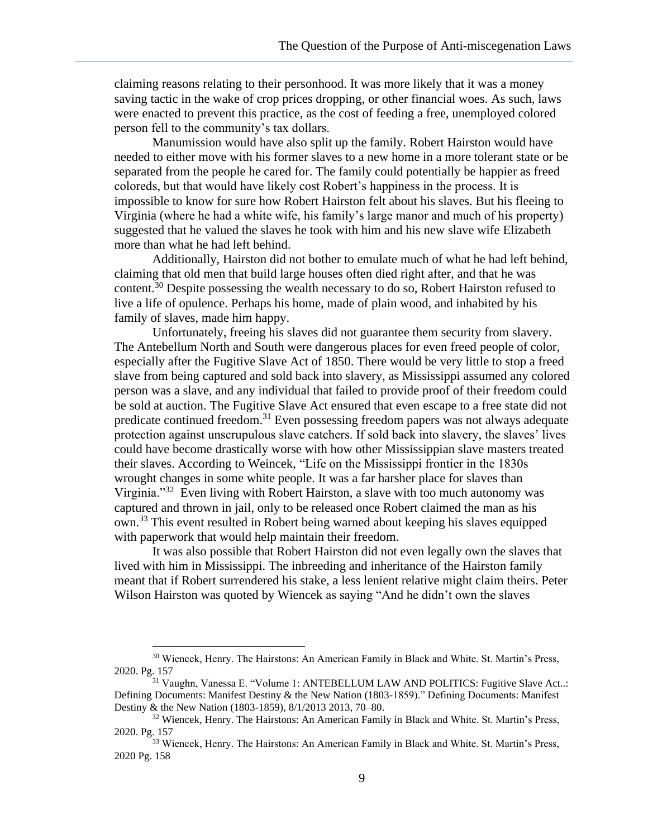claiming reasons relating to their personhood. It was more likely that it was a money saving tactic in the wake of crop prices dropping, or other financial woes. As such, laws were enacted to prevent this practice, as the cost of feeding a free, unemployed colored person fell to the community's tax dollars.

Manumission would have also split up the family. Robert Hairston would have needed to either move with his former slaves to a new home in a more tolerant state or be separated from the people he cared for. The family could potentially be happier as freed coloreds, but that would have likely cost Robert's happiness in the process. It is impossible to know for sure how Robert Hairston felt about his slaves. But his fleeing to Virginia (where he had a white wife, his family's large manor and much of his property) suggested that he valued the slaves he took with him and his new slave wife Elizabeth more than what he had left behind.

Additionally, Hairston did not bother to emulate much of what he had left behind, claiming that old men that build large houses often died right after, and that he was content.<sup>30</sup> Despite possessing the wealth necessary to do so, Robert Hairston refused to live a life of opulence. Perhaps his home, made of plain wood, and inhabited by his family of slaves, made him happy.

Unfortunately, freeing his slaves did not guarantee them security from slavery. The Antebellum North and South were dangerous places for even freed people of color, especially after the Fugitive Slave Act of 1850. There would be very little to stop a freed slave from being captured and sold back into slavery, as Mississippi assumed any colored person was a slave, and any individual that failed to provide proof of their freedom could be sold at auction. The Fugitive Slave Act ensured that even escape to a free state did not predicate continued freedom.<sup>31</sup> Even possessing freedom papers was not always adequate protection against unscrupulous slave catchers. If sold back into slavery, the slaves' lives could have become drastically worse with how other Mississippian slave masters treated their slaves. According to Weincek, "Life on the Mississippi frontier in the 1830s wrought changes in some white people. It was a far harsher place for slaves than Virginia."<sup>32</sup> Even living with Robert Hairston, a slave with too much autonomy was captured and thrown in jail, only to be released once Robert claimed the man as his own.<sup>33</sup> This event resulted in Robert being warned about keeping his slaves equipped with paperwork that would help maintain their freedom.

It was also possible that Robert Hairston did not even legally own the slaves that lived with him in Mississippi. The inbreeding and inheritance of the Hairston family meant that if Robert surrendered his stake, a less lenient relative might claim theirs. Peter Wilson Hairston was quoted by Wiencek as saying "And he didn't own the slaves

<sup>30</sup> Wiencek, Henry. The Hairstons: An American Family in Black and White. St. Martin's Press, 2020. Pg. 157

<sup>31</sup> Vaughn, Vanessa E. "Volume 1: ANTEBELLUM LAW AND POLITICS: Fugitive Slave Act..: Defining Documents: Manifest Destiny & the New Nation (1803-1859)." Defining Documents: Manifest Destiny & the New Nation (1803-1859), 8/1/2013 2013, 70–80.

 $32$  Wiencek, Henry. The Hairstons: An American Family in Black and White. St. Martin's Press, 2020. Pg. 157

<sup>&</sup>lt;sup>33</sup> Wiencek, Henry. The Hairstons: An American Family in Black and White. St. Martin's Press, 2020 Pg. 158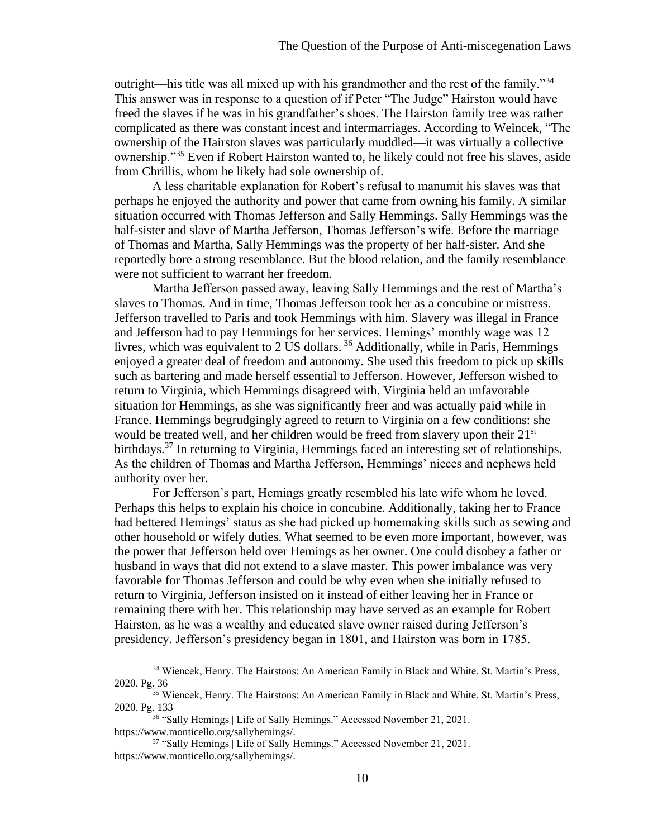outright—his title was all mixed up with his grandmother and the rest of the family."<sup>34</sup> This answer was in response to a question of if Peter "The Judge" Hairston would have freed the slaves if he was in his grandfather's shoes. The Hairston family tree was rather complicated as there was constant incest and intermarriages. According to Weincek, "The ownership of the Hairston slaves was particularly muddled—it was virtually a collective ownership."<sup>35</sup> Even if Robert Hairston wanted to, he likely could not free his slaves, aside from Chrillis, whom he likely had sole ownership of.

A less charitable explanation for Robert's refusal to manumit his slaves was that perhaps he enjoyed the authority and power that came from owning his family. A similar situation occurred with Thomas Jefferson and Sally Hemmings. Sally Hemmings was the half-sister and slave of Martha Jefferson, Thomas Jefferson's wife. Before the marriage of Thomas and Martha, Sally Hemmings was the property of her half-sister. And she reportedly bore a strong resemblance. But the blood relation, and the family resemblance were not sufficient to warrant her freedom.

Martha Jefferson passed away, leaving Sally Hemmings and the rest of Martha's slaves to Thomas. And in time, Thomas Jefferson took her as a concubine or mistress. Jefferson travelled to Paris and took Hemmings with him. Slavery was illegal in France and Jefferson had to pay Hemmings for her services. Hemings' monthly wage was 12 livres, which was equivalent to 2 US dollars. <sup>36</sup> Additionally, while in Paris, Hemmings enjoyed a greater deal of freedom and autonomy. She used this freedom to pick up skills such as bartering and made herself essential to Jefferson. However, Jefferson wished to return to Virginia, which Hemmings disagreed with. Virginia held an unfavorable situation for Hemmings, as she was significantly freer and was actually paid while in France. Hemmings begrudgingly agreed to return to Virginia on a few conditions: she would be treated well, and her children would be freed from slavery upon their 21<sup>st</sup> birthdays.<sup>37</sup> In returning to Virginia, Hemmings faced an interesting set of relationships. As the children of Thomas and Martha Jefferson, Hemmings' nieces and nephews held authority over her.

For Jefferson's part, Hemings greatly resembled his late wife whom he loved. Perhaps this helps to explain his choice in concubine. Additionally, taking her to France had bettered Hemings' status as she had picked up homemaking skills such as sewing and other household or wifely duties. What seemed to be even more important, however, was the power that Jefferson held over Hemings as her owner. One could disobey a father or husband in ways that did not extend to a slave master. This power imbalance was very favorable for Thomas Jefferson and could be why even when she initially refused to return to Virginia, Jefferson insisted on it instead of either leaving her in France or remaining there with her. This relationship may have served as an example for Robert Hairston, as he was a wealthy and educated slave owner raised during Jefferson's presidency. Jefferson's presidency began in 1801, and Hairston was born in 1785.

<sup>34</sup> Wiencek, Henry. The Hairstons: An American Family in Black and White. St. Martin's Press, 2020. Pg. 36

<sup>35</sup> Wiencek, Henry. The Hairstons: An American Family in Black and White. St. Martin's Press, 2020. Pg. 133

<sup>&</sup>lt;sup>36</sup> "Sally Hemings | Life of Sally Hemings." Accessed November 21, 2021. https://www.monticello.org/sallyhemings/.

<sup>&</sup>lt;sup>37</sup> "Sally Hemings | Life of Sally Hemings." Accessed November 21, 2021. https://www.monticello.org/sallyhemings/.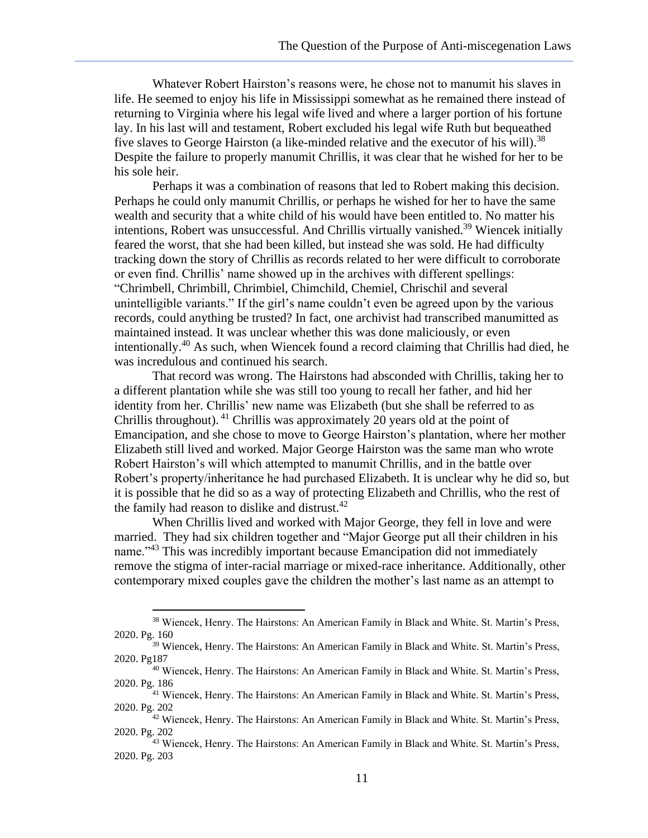Whatever Robert Hairston's reasons were, he chose not to manumit his slaves in life. He seemed to enjoy his life in Mississippi somewhat as he remained there instead of returning to Virginia where his legal wife lived and where a larger portion of his fortune lay. In his last will and testament, Robert excluded his legal wife Ruth but bequeathed five slaves to George Hairston (a like-minded relative and the executor of his will).<sup>38</sup> Despite the failure to properly manumit Chrillis, it was clear that he wished for her to be his sole heir.

Perhaps it was a combination of reasons that led to Robert making this decision. Perhaps he could only manumit Chrillis, or perhaps he wished for her to have the same wealth and security that a white child of his would have been entitled to. No matter his intentions, Robert was unsuccessful. And Chrillis virtually vanished.<sup>39</sup> Wiencek initially feared the worst, that she had been killed, but instead she was sold. He had difficulty tracking down the story of Chrillis as records related to her were difficult to corroborate or even find. Chrillis' name showed up in the archives with different spellings: "Chrimbell, Chrimbill, Chrimbiel, Chimchild, Chemiel, Chrischil and several unintelligible variants." If the girl's name couldn't even be agreed upon by the various records, could anything be trusted? In fact, one archivist had transcribed manumitted as maintained instead. It was unclear whether this was done maliciously, or even intentionally.<sup>40</sup> As such, when Wiencek found a record claiming that Chrillis had died, he was incredulous and continued his search.

That record was wrong. The Hairstons had absconded with Chrillis, taking her to a different plantation while she was still too young to recall her father, and hid her identity from her. Chrillis' new name was Elizabeth (but she shall be referred to as Chrillis throughout). <sup>41</sup> Chrillis was approximately 20 years old at the point of Emancipation, and she chose to move to George Hairston's plantation, where her mother Elizabeth still lived and worked. Major George Hairston was the same man who wrote Robert Hairston's will which attempted to manumit Chrillis, and in the battle over Robert's property/inheritance he had purchased Elizabeth. It is unclear why he did so, but it is possible that he did so as a way of protecting Elizabeth and Chrillis, who the rest of the family had reason to dislike and distrust.<sup>42</sup>

When Chrillis lived and worked with Major George, they fell in love and were married. They had six children together and "Major George put all their children in his name."<sup>43</sup> This was incredibly important because Emancipation did not immediately remove the stigma of inter-racial marriage or mixed-race inheritance. Additionally, other contemporary mixed couples gave the children the mother's last name as an attempt to

<sup>38</sup> Wiencek, Henry. The Hairstons: An American Family in Black and White. St. Martin's Press, 2020. Pg. 160

<sup>&</sup>lt;sup>39</sup> Wiencek, Henry. The Hairstons: An American Family in Black and White. St. Martin's Press, 2020. Pg187

<sup>40</sup> Wiencek, Henry. The Hairstons: An American Family in Black and White. St. Martin's Press, 2020. Pg. 186

<sup>41</sup> Wiencek, Henry. The Hairstons: An American Family in Black and White. St. Martin's Press, 2020. Pg. 202

<sup>42</sup> Wiencek, Henry. The Hairstons: An American Family in Black and White. St. Martin's Press, 2020. Pg. 202

<sup>43</sup> Wiencek, Henry. The Hairstons: An American Family in Black and White. St. Martin's Press, 2020. Pg. 203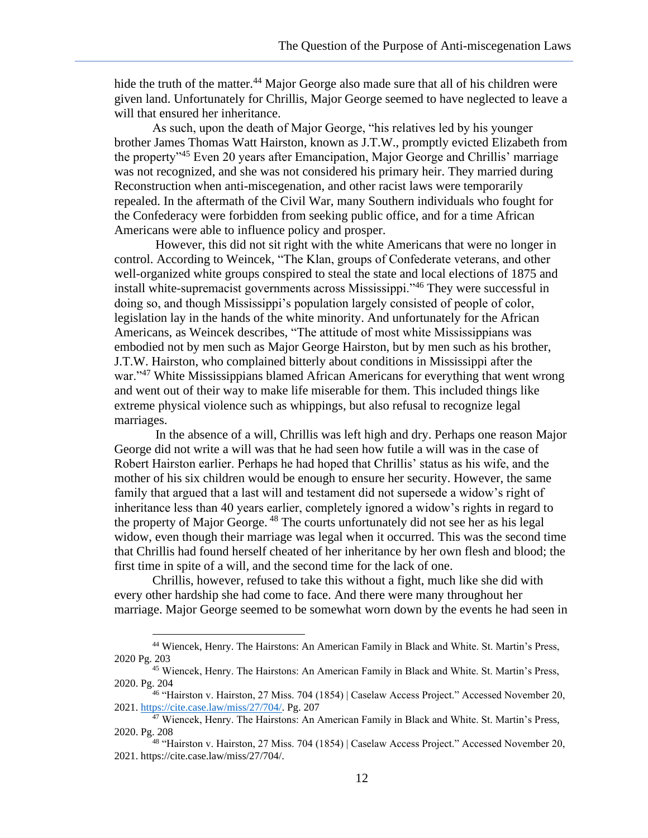hide the truth of the matter.<sup>44</sup> Major George also made sure that all of his children were given land. Unfortunately for Chrillis, Major George seemed to have neglected to leave a will that ensured her inheritance.

As such, upon the death of Major George, "his relatives led by his younger brother James Thomas Watt Hairston, known as J.T.W., promptly evicted Elizabeth from the property<sup>345</sup> Even 20 years after Emancipation, Major George and Chrillis' marriage was not recognized, and she was not considered his primary heir. They married during Reconstruction when anti-miscegenation, and other racist laws were temporarily repealed. In the aftermath of the Civil War, many Southern individuals who fought for the Confederacy were forbidden from seeking public office, and for a time African Americans were able to influence policy and prosper.

However, this did not sit right with the white Americans that were no longer in control. According to Weincek, "The Klan, groups of Confederate veterans, and other well-organized white groups conspired to steal the state and local elections of 1875 and install white-supremacist governments across Mississippi."<sup>46</sup> They were successful in doing so, and though Mississippi's population largely consisted of people of color, legislation lay in the hands of the white minority. And unfortunately for the African Americans, as Weincek describes, "The attitude of most white Mississippians was embodied not by men such as Major George Hairston, but by men such as his brother, J.T.W. Hairston, who complained bitterly about conditions in Mississippi after the war."<sup>47</sup> White Mississippians blamed African Americans for everything that went wrong and went out of their way to make life miserable for them. This included things like extreme physical violence such as whippings, but also refusal to recognize legal marriages.

In the absence of a will, Chrillis was left high and dry. Perhaps one reason Major George did not write a will was that he had seen how futile a will was in the case of Robert Hairston earlier. Perhaps he had hoped that Chrillis' status as his wife, and the mother of his six children would be enough to ensure her security. However, the same family that argued that a last will and testament did not supersede a widow's right of inheritance less than 40 years earlier, completely ignored a widow's rights in regard to the property of Major George. <sup>48</sup> The courts unfortunately did not see her as his legal widow, even though their marriage was legal when it occurred. This was the second time that Chrillis had found herself cheated of her inheritance by her own flesh and blood; the first time in spite of a will, and the second time for the lack of one.

Chrillis, however, refused to take this without a fight, much like she did with every other hardship she had come to face. And there were many throughout her marriage. Major George seemed to be somewhat worn down by the events he had seen in

<sup>44</sup> Wiencek, Henry. The Hairstons: An American Family in Black and White. St. Martin's Press, 2020 Pg. 203

<sup>45</sup> Wiencek, Henry. The Hairstons: An American Family in Black and White. St. Martin's Press, 2020. Pg. 204

<sup>46</sup> "Hairston v. Hairston, 27 Miss. 704 (1854) | Caselaw Access Project." Accessed November 20, 2021. [https://cite.case.law/miss/27/704/.](about:blank) Pg. 207

 $47$  Wiencek, Henry. The Hairstons: An American Family in Black and White. St. Martin's Press, 2020. Pg. 208

<sup>48</sup> "Hairston v. Hairston, 27 Miss. 704 (1854) | Caselaw Access Project." Accessed November 20, 2021. https://cite.case.law/miss/27/704/.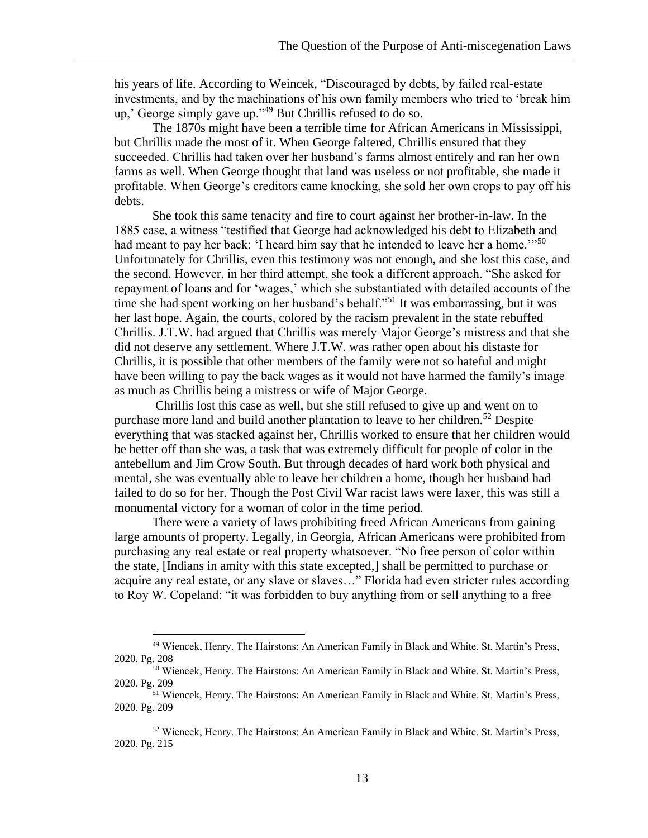his years of life. According to Weincek, "Discouraged by debts, by failed real-estate investments, and by the machinations of his own family members who tried to 'break him up,' George simply gave up."<sup>49</sup> But Chrillis refused to do so.

The 1870s might have been a terrible time for African Americans in Mississippi, but Chrillis made the most of it. When George faltered, Chrillis ensured that they succeeded. Chrillis had taken over her husband's farms almost entirely and ran her own farms as well. When George thought that land was useless or not profitable, she made it profitable. When George's creditors came knocking, she sold her own crops to pay off his debts.

She took this same tenacity and fire to court against her brother-in-law. In the 1885 case, a witness "testified that George had acknowledged his debt to Elizabeth and had meant to pay her back: 'I heard him say that he intended to leave her a home.'"<sup>50</sup> Unfortunately for Chrillis, even this testimony was not enough, and she lost this case, and the second. However, in her third attempt, she took a different approach. "She asked for repayment of loans and for 'wages,' which she substantiated with detailed accounts of the time she had spent working on her husband's behalf."<sup>51</sup> It was embarrassing, but it was her last hope. Again, the courts, colored by the racism prevalent in the state rebuffed Chrillis. J.T.W. had argued that Chrillis was merely Major George's mistress and that she did not deserve any settlement. Where J.T.W. was rather open about his distaste for Chrillis, it is possible that other members of the family were not so hateful and might have been willing to pay the back wages as it would not have harmed the family's image as much as Chrillis being a mistress or wife of Major George.

Chrillis lost this case as well, but she still refused to give up and went on to purchase more land and build another plantation to leave to her children.<sup>52</sup> Despite everything that was stacked against her, Chrillis worked to ensure that her children would be better off than she was, a task that was extremely difficult for people of color in the antebellum and Jim Crow South. But through decades of hard work both physical and mental, she was eventually able to leave her children a home, though her husband had failed to do so for her. Though the Post Civil War racist laws were laxer, this was still a monumental victory for a woman of color in the time period.

There were a variety of laws prohibiting freed African Americans from gaining large amounts of property. Legally, in Georgia, African Americans were prohibited from purchasing any real estate or real property whatsoever. "No free person of color within the state, [Indians in amity with this state excepted,] shall be permitted to purchase or acquire any real estate, or any slave or slaves…" Florida had even stricter rules according to Roy W. Copeland: "it was forbidden to buy anything from or sell anything to a free

<sup>49</sup> Wiencek, Henry. The Hairstons: An American Family in Black and White. St. Martin's Press, 2020. Pg. 208

<sup>&</sup>lt;sup>50</sup> Wiencek, Henry. The Hairstons: An American Family in Black and White. St. Martin's Press, 2020. Pg. 209

<sup>51</sup> Wiencek, Henry. The Hairstons: An American Family in Black and White. St. Martin's Press, 2020. Pg. 209

<sup>52</sup> Wiencek, Henry. The Hairstons: An American Family in Black and White. St. Martin's Press, 2020. Pg. 215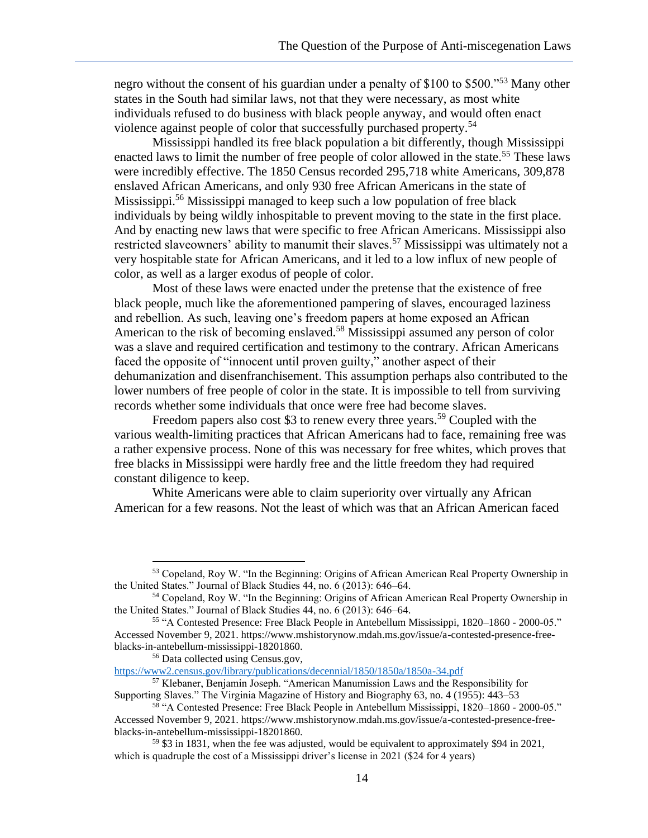negro without the consent of his guardian under a penalty of \$100 to \$500."<sup>53</sup> Many other states in the South had similar laws, not that they were necessary, as most white individuals refused to do business with black people anyway, and would often enact violence against people of color that successfully purchased property.<sup>54</sup>

Mississippi handled its free black population a bit differently, though Mississippi enacted laws to limit the number of free people of color allowed in the state.<sup>55</sup> These laws were incredibly effective. The 1850 Census recorded 295,718 white Americans, 309,878 enslaved African Americans, and only 930 free African Americans in the state of Mississippi.<sup>56</sup> Mississippi managed to keep such a low population of free black individuals by being wildly inhospitable to prevent moving to the state in the first place. And by enacting new laws that were specific to free African Americans. Mississippi also restricted slaveowners' ability to manumit their slaves.<sup>57</sup> Mississippi was ultimately not a very hospitable state for African Americans, and it led to a low influx of new people of color, as well as a larger exodus of people of color.

Most of these laws were enacted under the pretense that the existence of free black people, much like the aforementioned pampering of slaves, encouraged laziness and rebellion. As such, leaving one's freedom papers at home exposed an African American to the risk of becoming enslaved.<sup>58</sup> Mississippi assumed any person of color was a slave and required certification and testimony to the contrary. African Americans faced the opposite of "innocent until proven guilty," another aspect of their dehumanization and disenfranchisement. This assumption perhaps also contributed to the lower numbers of free people of color in the state. It is impossible to tell from surviving records whether some individuals that once were free had become slaves.

Freedom papers also cost \$3 to renew every three years.<sup>59</sup> Coupled with the various wealth-limiting practices that African Americans had to face, remaining free was a rather expensive process. None of this was necessary for free whites, which proves that free blacks in Mississippi were hardly free and the little freedom they had required constant diligence to keep.

White Americans were able to claim superiority over virtually any African American for a few reasons. Not the least of which was that an African American faced

[https://www2.census.gov/library/publications/decennial/1850/1850a/1850a-34.pdf](about:blank)

<sup>53</sup> Copeland, Roy W. "In the Beginning: Origins of African American Real Property Ownership in the United States." Journal of Black Studies 44, no. 6 (2013): 646–64.

<sup>54</sup> Copeland, Roy W. "In the Beginning: Origins of African American Real Property Ownership in the United States." Journal of Black Studies 44, no. 6 (2013): 646–64.

<sup>55</sup> "A Contested Presence: Free Black People in Antebellum Mississippi, 1820–1860 - 2000-05." Accessed November 9, 2021. https://www.mshistorynow.mdah.ms.gov/issue/a-contested-presence-freeblacks-in-antebellum-mississippi-18201860.

<sup>56</sup> Data collected using Census.gov,

<sup>57</sup> Klebaner, Benjamin Joseph. "American Manumission Laws and the Responsibility for Supporting Slaves." The Virginia Magazine of History and Biography 63, no. 4 (1955): 443–53

<sup>58</sup> "A Contested Presence: Free Black People in Antebellum Mississippi, 1820–1860 - 2000-05." Accessed November 9, 2021. https://www.mshistorynow.mdah.ms.gov/issue/a-contested-presence-freeblacks-in-antebellum-mississippi-18201860.

 $59$  \$3 in 1831, when the fee was adjusted, would be equivalent to approximately \$94 in 2021, which is quadruple the cost of a Mississippi driver's license in 2021 (\$24 for 4 years)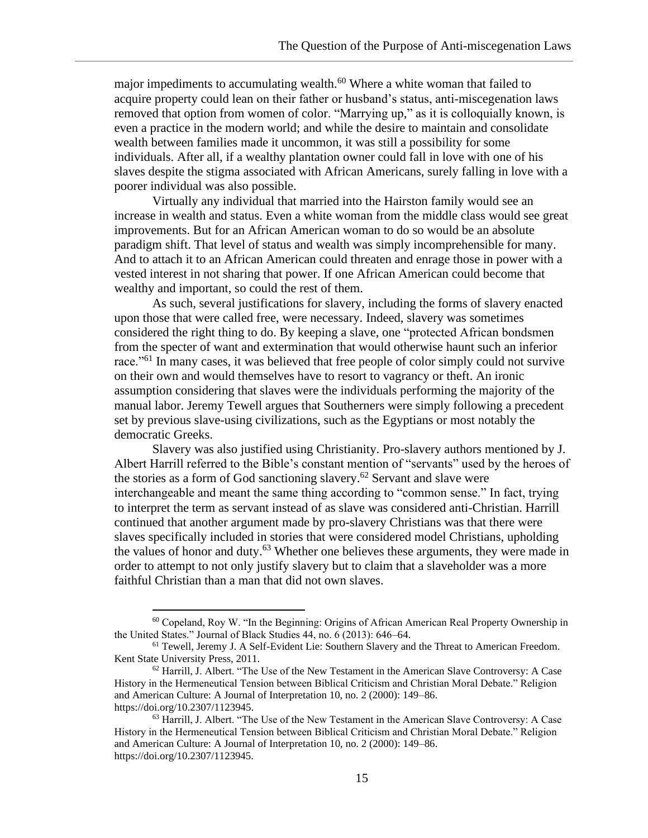major impediments to accumulating wealth.<sup>60</sup> Where a white woman that failed to acquire property could lean on their father or husband's status, anti-miscegenation laws removed that option from women of color. "Marrying up," as it is colloquially known, is even a practice in the modern world; and while the desire to maintain and consolidate wealth between families made it uncommon, it was still a possibility for some individuals. After all, if a wealthy plantation owner could fall in love with one of his slaves despite the stigma associated with African Americans, surely falling in love with a poorer individual was also possible.

Virtually any individual that married into the Hairston family would see an increase in wealth and status. Even a white woman from the middle class would see great improvements. But for an African American woman to do so would be an absolute paradigm shift. That level of status and wealth was simply incomprehensible for many. And to attach it to an African American could threaten and enrage those in power with a vested interest in not sharing that power. If one African American could become that wealthy and important, so could the rest of them.

As such, several justifications for slavery, including the forms of slavery enacted upon those that were called free, were necessary. Indeed, slavery was sometimes considered the right thing to do. By keeping a slave, one "protected African bondsmen from the specter of want and extermination that would otherwise haunt such an inferior race."<sup>61</sup> In many cases, it was believed that free people of color simply could not survive on their own and would themselves have to resort to vagrancy or theft. An ironic assumption considering that slaves were the individuals performing the majority of the manual labor. Jeremy Tewell argues that Southerners were simply following a precedent set by previous slave-using civilizations, such as the Egyptians or most notably the democratic Greeks.

Slavery was also justified using Christianity. Pro-slavery authors mentioned by J. Albert Harrill referred to the Bible's constant mention of "servants" used by the heroes of the stories as a form of God sanctioning slavery.<sup>62</sup> Servant and slave were interchangeable and meant the same thing according to "common sense." In fact, trying to interpret the term as servant instead of as slave was considered anti-Christian. Harrill continued that another argument made by pro-slavery Christians was that there were slaves specifically included in stories that were considered model Christians, upholding the values of honor and duty. $63$  Whether one believes these arguments, they were made in order to attempt to not only justify slavery but to claim that a slaveholder was a more faithful Christian than a man that did not own slaves.

 $60$  Copeland, Roy W. "In the Beginning: Origins of African American Real Property Ownership in the United States." Journal of Black Studies 44, no. 6 (2013): 646–64.

<sup>&</sup>lt;sup>61</sup> Tewell, Jeremy J. A Self-Evident Lie: Southern Slavery and the Threat to American Freedom. Kent State University Press, 2011.

<sup>62</sup> Harrill, J. Albert. "The Use of the New Testament in the American Slave Controversy: A Case History in the Hermeneutical Tension between Biblical Criticism and Christian Moral Debate." Religion and American Culture: A Journal of Interpretation 10, no. 2 (2000): 149–86. https://doi.org/10.2307/1123945.

 $<sup>63</sup>$  Harrill, J. Albert. "The Use of the New Testament in the American Slave Controversy: A Case</sup> History in the Hermeneutical Tension between Biblical Criticism and Christian Moral Debate." Religion and American Culture: A Journal of Interpretation 10, no. 2 (2000): 149–86. https://doi.org/10.2307/1123945.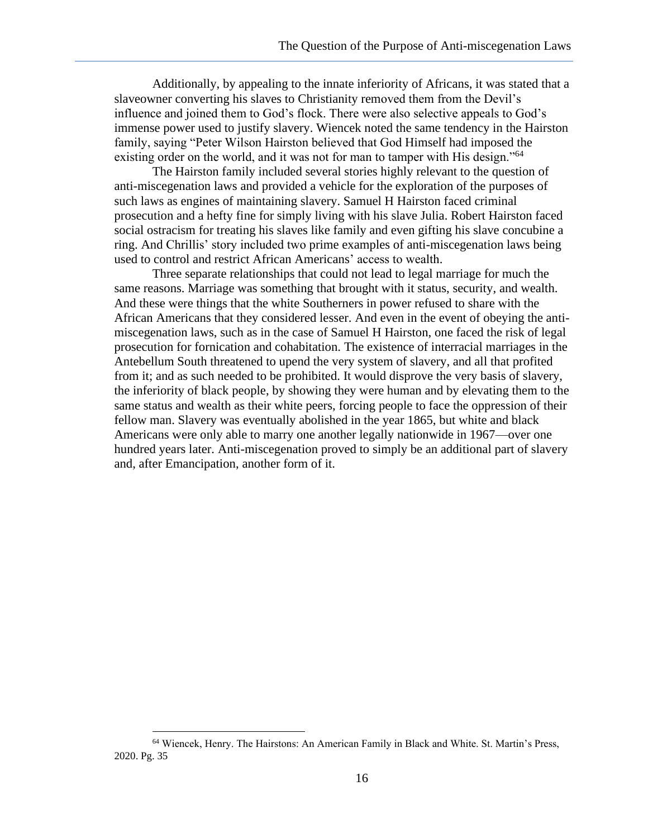Additionally, by appealing to the innate inferiority of Africans, it was stated that a slaveowner converting his slaves to Christianity removed them from the Devil's influence and joined them to God's flock. There were also selective appeals to God's immense power used to justify slavery. Wiencek noted the same tendency in the Hairston family, saying "Peter Wilson Hairston believed that God Himself had imposed the existing order on the world, and it was not for man to tamper with His design."<sup>64</sup>

The Hairston family included several stories highly relevant to the question of anti-miscegenation laws and provided a vehicle for the exploration of the purposes of such laws as engines of maintaining slavery. Samuel H Hairston faced criminal prosecution and a hefty fine for simply living with his slave Julia. Robert Hairston faced social ostracism for treating his slaves like family and even gifting his slave concubine a ring. And Chrillis' story included two prime examples of anti-miscegenation laws being used to control and restrict African Americans' access to wealth.

Three separate relationships that could not lead to legal marriage for much the same reasons. Marriage was something that brought with it status, security, and wealth. And these were things that the white Southerners in power refused to share with the African Americans that they considered lesser. And even in the event of obeying the antimiscegenation laws, such as in the case of Samuel H Hairston, one faced the risk of legal prosecution for fornication and cohabitation. The existence of interracial marriages in the Antebellum South threatened to upend the very system of slavery, and all that profited from it; and as such needed to be prohibited. It would disprove the very basis of slavery, the inferiority of black people, by showing they were human and by elevating them to the same status and wealth as their white peers, forcing people to face the oppression of their fellow man. Slavery was eventually abolished in the year 1865, but white and black Americans were only able to marry one another legally nationwide in 1967—over one hundred years later. Anti-miscegenation proved to simply be an additional part of slavery and, after Emancipation, another form of it.

<sup>64</sup> Wiencek, Henry. The Hairstons: An American Family in Black and White. St. Martin's Press, 2020. Pg. 35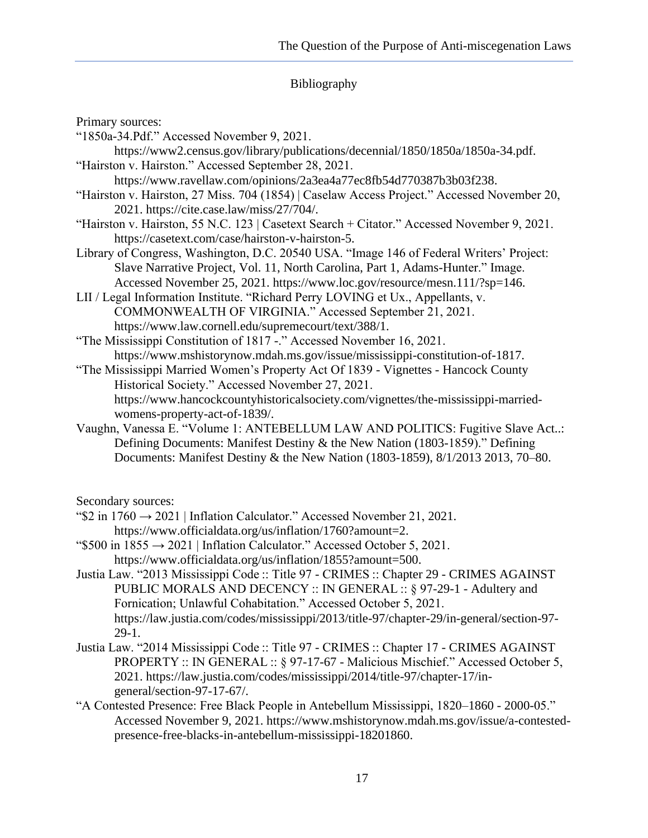### Bibliography

Primary sources:

- "1850a-34.Pdf." Accessed November 9, 2021.
- https://www2.census.gov/library/publications/decennial/1850/1850a/1850a-34.pdf. "Hairston v. Hairston." Accessed September 28, 2021.
	- https://www.ravellaw.com/opinions/2a3ea4a77ec8fb54d770387b3b03f238.
- "Hairston v. Hairston, 27 Miss. 704 (1854) | Caselaw Access Project." Accessed November 20, 2021. https://cite.case.law/miss/27/704/.
- "Hairston v. Hairston, 55 N.C. 123 | Casetext Search + Citator." Accessed November 9, 2021. https://casetext.com/case/hairston-v-hairston-5.
- Library of Congress, Washington, D.C. 20540 USA. "Image 146 of Federal Writers' Project: Slave Narrative Project, Vol. 11, North Carolina, Part 1, Adams-Hunter." Image. Accessed November 25, 2021. https://www.loc.gov/resource/mesn.111/?sp=146.

LII / Legal Information Institute. "Richard Perry LOVING et Ux., Appellants, v. COMMONWEALTH OF VIRGINIA." Accessed September 21, 2021. https://www.law.cornell.edu/supremecourt/text/388/1.

"The Mississippi Constitution of 1817 -." Accessed November 16, 2021. https://www.mshistorynow.mdah.ms.gov/issue/mississippi-constitution-of-1817.

- "The Mississippi Married Women's Property Act Of 1839 Vignettes Hancock County Historical Society." Accessed November 27, 2021. https://www.hancockcountyhistoricalsociety.com/vignettes/the-mississippi-marriedwomens-property-act-of-1839/.
- Vaughn, Vanessa E. "Volume 1: ANTEBELLUM LAW AND POLITICS: Fugitive Slave Act..: Defining Documents: Manifest Destiny & the New Nation (1803-1859)." Defining Documents: Manifest Destiny & the New Nation (1803-1859), 8/1/2013 2013, 70–80.

Secondary sources:

- " $$2$  in 1760  $\rightarrow$  2021 | Inflation Calculator." Accessed November 21, 2021. https://www.officialdata.org/us/inflation/1760?amount=2.
- " $$500$  in  $1855 \rightarrow 2021$  | Inflation Calculator." Accessed October 5, 2021. https://www.officialdata.org/us/inflation/1855?amount=500.
- Justia Law. "2013 Mississippi Code :: Title 97 CRIMES :: Chapter 29 CRIMES AGAINST PUBLIC MORALS AND DECENCY :: IN GENERAL :: § 97-29-1 - Adultery and Fornication; Unlawful Cohabitation." Accessed October 5, 2021. https://law.justia.com/codes/mississippi/2013/title-97/chapter-29/in-general/section-97- 29-1.
- Justia Law. "2014 Mississippi Code :: Title 97 CRIMES :: Chapter 17 CRIMES AGAINST PROPERTY :: IN GENERAL :: § 97-17-67 - Malicious Mischief." Accessed October 5, 2021. https://law.justia.com/codes/mississippi/2014/title-97/chapter-17/ingeneral/section-97-17-67/.
- "A Contested Presence: Free Black People in Antebellum Mississippi, 1820–1860 2000-05." Accessed November 9, 2021. https://www.mshistorynow.mdah.ms.gov/issue/a-contestedpresence-free-blacks-in-antebellum-mississippi-18201860.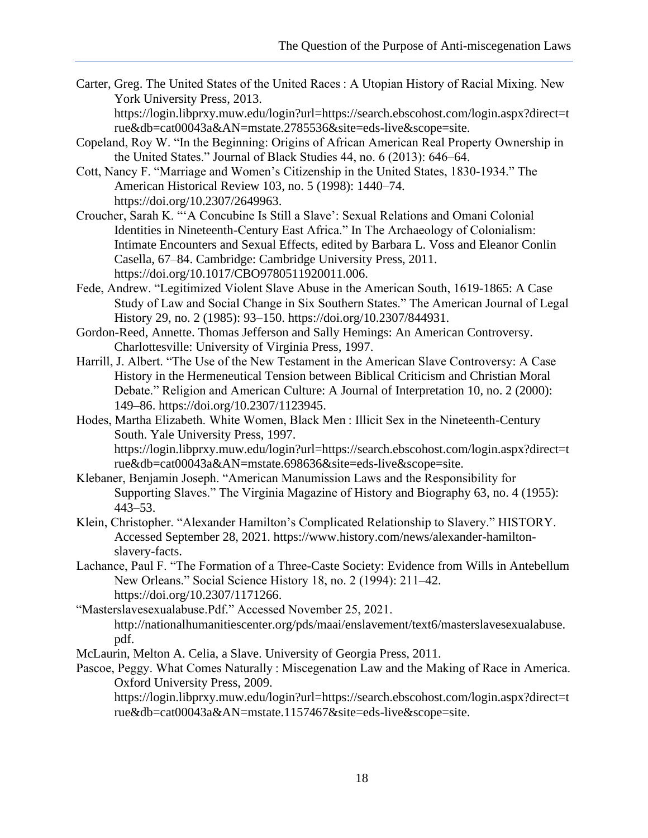Carter, Greg. The United States of the United Races : A Utopian History of Racial Mixing. New York University Press, 2013.

https://login.libprxy.muw.edu/login?url=https://search.ebscohost.com/login.aspx?direct=t rue&db=cat00043a&AN=mstate.2785536&site=eds-live&scope=site.

- Copeland, Roy W. "In the Beginning: Origins of African American Real Property Ownership in the United States." Journal of Black Studies 44, no. 6 (2013): 646–64.
- Cott, Nancy F. "Marriage and Women's Citizenship in the United States, 1830-1934." The American Historical Review 103, no. 5 (1998): 1440–74. https://doi.org/10.2307/2649963.
- Croucher, Sarah K. "'A Concubine Is Still a Slave': Sexual Relations and Omani Colonial Identities in Nineteenth-Century East Africa." In The Archaeology of Colonialism: Intimate Encounters and Sexual Effects, edited by Barbara L. Voss and Eleanor Conlin Casella, 67–84. Cambridge: Cambridge University Press, 2011. https://doi.org/10.1017/CBO9780511920011.006.
- Fede, Andrew. "Legitimized Violent Slave Abuse in the American South, 1619-1865: A Case Study of Law and Social Change in Six Southern States." The American Journal of Legal History 29, no. 2 (1985): 93–150. https://doi.org/10.2307/844931.
- Gordon-Reed, Annette. Thomas Jefferson and Sally Hemings: An American Controversy. Charlottesville: University of Virginia Press, 1997.
- Harrill, J. Albert. "The Use of the New Testament in the American Slave Controversy: A Case History in the Hermeneutical Tension between Biblical Criticism and Christian Moral Debate." Religion and American Culture: A Journal of Interpretation 10, no. 2 (2000): 149–86. https://doi.org/10.2307/1123945.
- Hodes, Martha Elizabeth. White Women, Black Men : Illicit Sex in the Nineteenth-Century South. Yale University Press, 1997.

https://login.libprxy.muw.edu/login?url=https://search.ebscohost.com/login.aspx?direct=t rue&db=cat00043a&AN=mstate.698636&site=eds-live&scope=site.

- Klebaner, Benjamin Joseph. "American Manumission Laws and the Responsibility for Supporting Slaves." The Virginia Magazine of History and Biography 63, no. 4 (1955): 443–53.
- Klein, Christopher. "Alexander Hamilton's Complicated Relationship to Slavery." HISTORY. Accessed September 28, 2021. https://www.history.com/news/alexander-hamiltonslavery-facts.
- Lachance, Paul F. "The Formation of a Three-Caste Society: Evidence from Wills in Antebellum New Orleans." Social Science History 18, no. 2 (1994): 211–42. https://doi.org/10.2307/1171266.
- "Masterslavesexualabuse.Pdf." Accessed November 25, 2021. http://nationalhumanitiescenter.org/pds/maai/enslavement/text6/masterslavesexualabuse. pdf.

McLaurin, Melton A. Celia, a Slave. University of Georgia Press, 2011.

Pascoe, Peggy. What Comes Naturally : Miscegenation Law and the Making of Race in America. Oxford University Press, 2009.

https://login.libprxy.muw.edu/login?url=https://search.ebscohost.com/login.aspx?direct=t rue&db=cat00043a&AN=mstate.1157467&site=eds-live&scope=site.